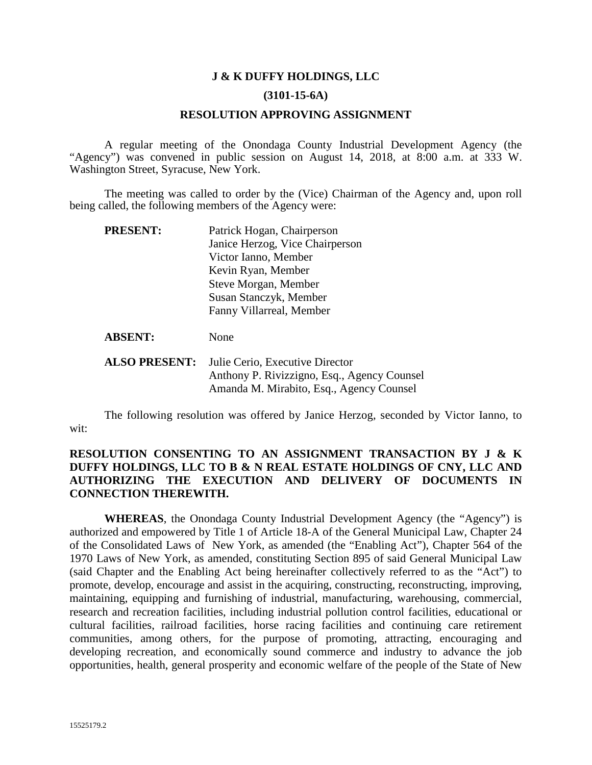#### **J & K DUFFY HOLDINGS, LLC**

#### **(3101-15-6A)**

#### **RESOLUTION APPROVING ASSIGNMENT**

A regular meeting of the Onondaga County Industrial Development Agency (the "Agency") was convened in public session on August 14, 2018, at 8:00 a.m. at 333 W. Washington Street, Syracuse, New York.

The meeting was called to order by the (Vice) Chairman of the Agency and, upon roll being called, the following members of the Agency were:

| <b>PRESENT:</b> | Patrick Hogan, Chairperson      |  |
|-----------------|---------------------------------|--|
|                 | Janice Herzog, Vice Chairperson |  |
|                 | Victor Ianno, Member            |  |
|                 | Kevin Ryan, Member              |  |
|                 | Steve Morgan, Member            |  |
|                 | Susan Stanczyk, Member          |  |
|                 | Fanny Villarreal, Member        |  |
|                 |                                 |  |

ABSENT: None

**ALSO PRESENT:** Julie Cerio, Executive Director Anthony P. Rivizzigno, Esq., Agency Counsel Amanda M. Mirabito, Esq., Agency Counsel

The following resolution was offered by Janice Herzog, seconded by Victor Ianno, to wit:

#### **RESOLUTION CONSENTING TO AN ASSIGNMENT TRANSACTION BY J & K DUFFY HOLDINGS, LLC TO B & N REAL ESTATE HOLDINGS OF CNY, LLC AND AUTHORIZING THE EXECUTION AND DELIVERY OF DOCUMENTS IN CONNECTION THEREWITH.**

**WHEREAS**, the Onondaga County Industrial Development Agency (the "Agency") is authorized and empowered by Title 1 of Article 18-A of the General Municipal Law, Chapter 24 of the Consolidated Laws of New York, as amended (the "Enabling Act"), Chapter 564 of the 1970 Laws of New York, as amended, constituting Section 895 of said General Municipal Law (said Chapter and the Enabling Act being hereinafter collectively referred to as the "Act") to promote, develop, encourage and assist in the acquiring, constructing, reconstructing, improving, maintaining, equipping and furnishing of industrial, manufacturing, warehousing, commercial, research and recreation facilities, including industrial pollution control facilities, educational or cultural facilities, railroad facilities, horse racing facilities and continuing care retirement communities, among others, for the purpose of promoting, attracting, encouraging and developing recreation, and economically sound commerce and industry to advance the job opportunities, health, general prosperity and economic welfare of the people of the State of New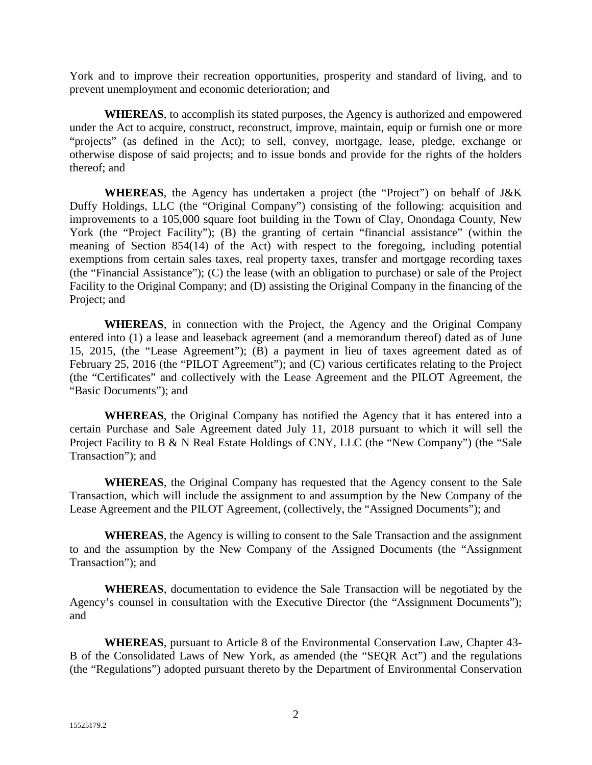York and to improve their recreation opportunities, prosperity and standard of living, and to prevent unemployment and economic deterioration; and

**WHEREAS**, to accomplish its stated purposes, the Agency is authorized and empowered under the Act to acquire, construct, reconstruct, improve, maintain, equip or furnish one or more "projects" (as defined in the Act); to sell, convey, mortgage, lease, pledge, exchange or otherwise dispose of said projects; and to issue bonds and provide for the rights of the holders thereof; and

**WHEREAS**, the Agency has undertaken a project (the "Project") on behalf of J&K Duffy Holdings, LLC (the "Original Company") consisting of the following: acquisition and improvements to a 105,000 square foot building in the Town of Clay, Onondaga County, New York (the "Project Facility"); (B) the granting of certain "financial assistance" (within the meaning of Section 854(14) of the Act) with respect to the foregoing, including potential exemptions from certain sales taxes, real property taxes, transfer and mortgage recording taxes (the "Financial Assistance"); (C) the lease (with an obligation to purchase) or sale of the Project Facility to the Original Company; and (D) assisting the Original Company in the financing of the Project; and

**WHEREAS**, in connection with the Project, the Agency and the Original Company entered into (1) a lease and leaseback agreement (and a memorandum thereof) dated as of June 15, 2015, (the "Lease Agreement"); (B) a payment in lieu of taxes agreement dated as of February 25, 2016 (the "PILOT Agreement"); and (C) various certificates relating to the Project (the "Certificates" and collectively with the Lease Agreement and the PILOT Agreement, the "Basic Documents"); and

**WHEREAS**, the Original Company has notified the Agency that it has entered into a certain Purchase and Sale Agreement dated July 11, 2018 pursuant to which it will sell the Project Facility to B & N Real Estate Holdings of CNY, LLC (the "New Company") (the "Sale Transaction"); and

**WHEREAS**, the Original Company has requested that the Agency consent to the Sale Transaction, which will include the assignment to and assumption by the New Company of the Lease Agreement and the PILOT Agreement, (collectively, the "Assigned Documents"); and

**WHEREAS**, the Agency is willing to consent to the Sale Transaction and the assignment to and the assumption by the New Company of the Assigned Documents (the "Assignment Transaction"); and

**WHEREAS**, documentation to evidence the Sale Transaction will be negotiated by the Agency's counsel in consultation with the Executive Director (the "Assignment Documents"); and

**WHEREAS**, pursuant to Article 8 of the Environmental Conservation Law, Chapter 43- B of the Consolidated Laws of New York, as amended (the "SEQR Act") and the regulations (the "Regulations") adopted pursuant thereto by the Department of Environmental Conservation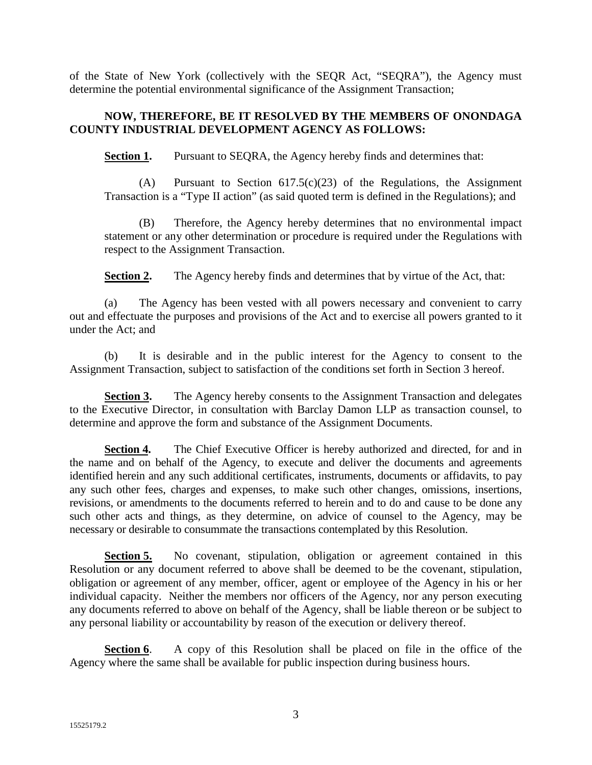of the State of New York (collectively with the SEQR Act, "SEQRA"), the Agency must determine the potential environmental significance of the Assignment Transaction;

### **NOW, THEREFORE, BE IT RESOLVED BY THE MEMBERS OF ONONDAGA COUNTY INDUSTRIAL DEVELOPMENT AGENCY AS FOLLOWS:**

**Section 1.** Pursuant to SEQRA, the Agency hereby finds and determines that:

(A) Pursuant to Section 617.5(c)(23) of the Regulations, the Assignment Transaction is a "Type II action" (as said quoted term is defined in the Regulations); and

(B) Therefore, the Agency hereby determines that no environmental impact statement or any other determination or procedure is required under the Regulations with respect to the Assignment Transaction.

**Section 2.** The Agency hereby finds and determines that by virtue of the Act, that:

(a) The Agency has been vested with all powers necessary and convenient to carry out and effectuate the purposes and provisions of the Act and to exercise all powers granted to it under the Act; and

(b) It is desirable and in the public interest for the Agency to consent to the Assignment Transaction, subject to satisfaction of the conditions set forth in Section 3 hereof.

**Section 3.** The Agency hereby consents to the Assignment Transaction and delegates to the Executive Director, in consultation with Barclay Damon LLP as transaction counsel, to determine and approve the form and substance of the Assignment Documents.

**Section 4.** The Chief Executive Officer is hereby authorized and directed, for and in the name and on behalf of the Agency, to execute and deliver the documents and agreements identified herein and any such additional certificates, instruments, documents or affidavits, to pay any such other fees, charges and expenses, to make such other changes, omissions, insertions, revisions, or amendments to the documents referred to herein and to do and cause to be done any such other acts and things, as they determine, on advice of counsel to the Agency, may be necessary or desirable to consummate the transactions contemplated by this Resolution.

**Section 5.** No covenant, stipulation, obligation or agreement contained in this Resolution or any document referred to above shall be deemed to be the covenant, stipulation, obligation or agreement of any member, officer, agent or employee of the Agency in his or her individual capacity. Neither the members nor officers of the Agency, nor any person executing any documents referred to above on behalf of the Agency, shall be liable thereon or be subject to any personal liability or accountability by reason of the execution or delivery thereof.

**Section 6.** A copy of this Resolution shall be placed on file in the office of the Agency where the same shall be available for public inspection during business hours.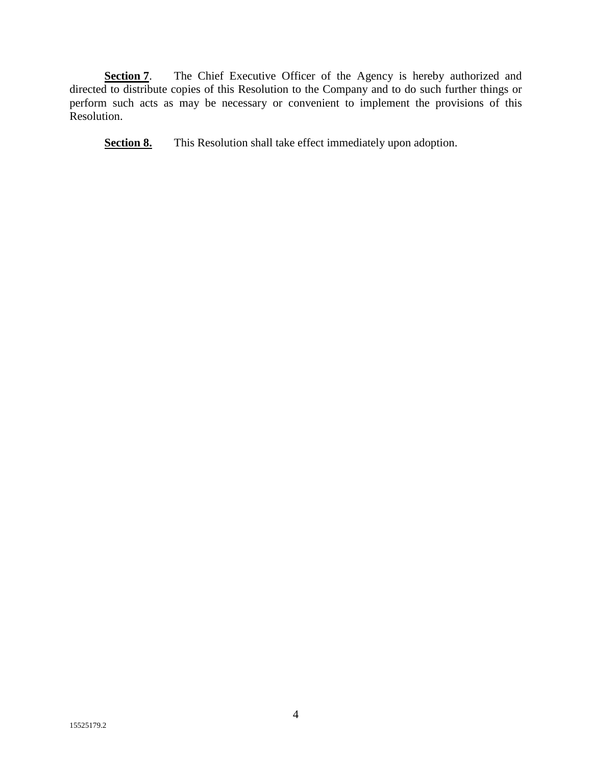**Section 7**. The Chief Executive Officer of the Agency is hereby authorized and directed to distribute copies of this Resolution to the Company and to do such further things or perform such acts as may be necessary or convenient to implement the provisions of this Resolution.

**Section 8.** This Resolution shall take effect immediately upon adoption.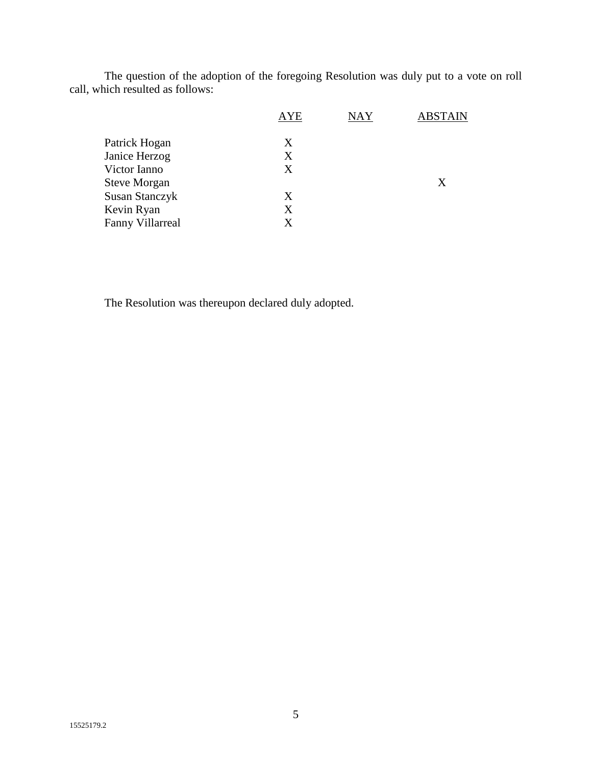The question of the adoption of the foregoing Resolution was duly put to a vote on roll call, which resulted as follows:

|                         | <b>AYE</b> | <b>NAY</b> | <b>ABSTAIN</b> |
|-------------------------|------------|------------|----------------|
| Patrick Hogan           | X          |            |                |
| Janice Herzog           | Χ          |            |                |
| Victor Ianno            | Χ          |            |                |
| <b>Steve Morgan</b>     |            |            | X              |
| <b>Susan Stanczyk</b>   | X          |            |                |
| Kevin Ryan              | X          |            |                |
| <b>Fanny Villarreal</b> | X          |            |                |
|                         |            |            |                |

The Resolution was thereupon declared duly adopted.